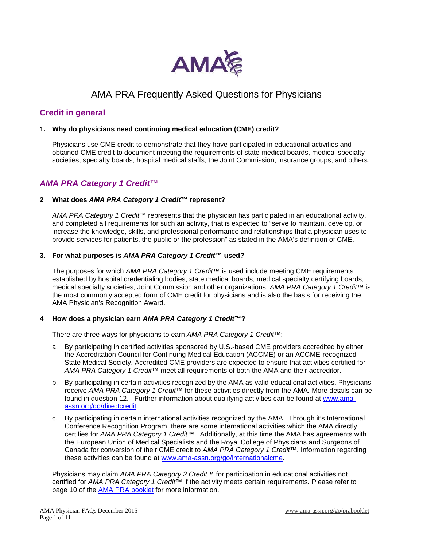

# AMA PRA Frequently Asked Questions for Physicians

## **Credit in general**

### **1. Why do physicians need continuing medical education (CME) credit?**

Physicians use CME credit to demonstrate that they have participated in educational activities and obtained CME credit to document meeting the requirements of state medical boards, medical specialty societies, specialty boards, hospital medical staffs, the Joint Commission, insurance groups, and others.

## *AMA PRA Category 1 Credit™*

### **2 What does** *AMA PRA Category 1 Credit***™ represent?**

*AMA PRA Category 1 Credit*™ represents that the physician has participated in an educational activity, and completed all requirements for such an activity, that is expected to "serve to maintain, develop, or increase the knowledge, skills, and professional performance and relationships that a physician uses to provide services for patients, the public or the profession" as stated in the AMA's definition of CME.

## **3. For what purposes is** *AMA PRA Category 1 Credit***™ used?**

The purposes for which *AMA PRA Category 1 Credit*™ is used include meeting CME requirements established by hospital credentialing bodies, state medical boards, medical specialty certifying boards, medical specialty societies, Joint Commission and other organizations. *AMA PRA Category 1 Credit™* is the most commonly accepted form of CME credit for physicians and is also the basis for receiving the AMA Physician's Recognition Award.

### **4 How does a physician earn** *AMA PRA Category 1 Credit***™?**

There are three ways for physicians to earn *AMA PRA Category 1 Credit*™:

- a. By participating in certified activities sponsored by U.S.-based CME providers accredited by either the Accreditation Council for Continuing Medical Education (ACCME) or an ACCME-recognized State Medical Society. Accredited CME providers are expected to ensure that activities certified for *AMA PRA Category 1 Credit*™ meet all requirements of both the AMA and their accreditor.
- b. By participating in certain activities recognized by the AMA as valid educational activities. Physicians receive *AMA PRA Category 1 Credit*™ for these activities directly from the AMA. More details can be found in question 12. Further information about qualifying activities can be found at [www.ama](http://www.ama-assn.org/go/directcredit)[assn.org/go/directcredit.](http://www.ama-assn.org/go/directcredit)
- c. By participating in certain international activities recognized by the AMA. Through it's International Conference Recognition Program, there are some international activities which the AMA directly certifies for *AMA PRA Category 1 Credit*™. Additionally, at this time the AMA has agreements with the European Union of Medical Specialists and the Royal College of Physicians and Surgeons of Canada for conversion of their CME credit to *AMA PRA Category 1 Credit*™. Information regarding these activities can be found at [www.ama-assn.org/go/internationalcme.](http://www.ama-assn.org/go/internationalcme)

Physicians may claim *AMA PRA Category 2 Credit*™ for participation in educational activities not certified for *AMA PRA Category 1 Credit*™ if the activity meets certain requirements. Please refer to page 10 of the [AMA PRA booklet](http://www.ama-assn.org/go/prabooklet) for more information.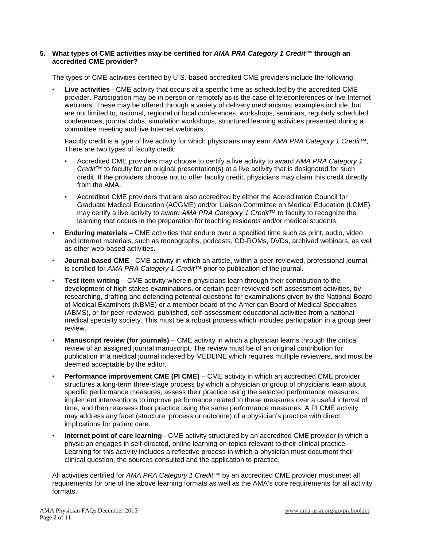### **5. What types of CME activities may be certified for** *AMA PRA Category 1 Credit***™ through an accredited CME provider?**

The types of CME activities certified by U.S.-based accredited CME providers include the following:

• **Live activities** - CME activity that occurs at a specific time as scheduled by the accredited CME provider. Participation may be in person or remotely as is the case of teleconferences or live Internet webinars. These may be offered through a variety of delivery mechanisms; examples include, but are not limited to, national, regional or local conferences, workshops, seminars, regularly scheduled conferences, journal clubs, simulation workshops, structured learning activities presented during a committee meeting and live Internet webinars.

Faculty credit is a type of live activity for which physicians may earn *AMA PRA Category 1 Credit™;* There are two types of faculty credit:

- Accredited CME providers may choose to certify a live activity to award *AMA PRA Category 1 Credit™* to faculty for an original presentation(s) at a live activity that is designated for such credit. If the providers choose not to offer faculty credit, physicians may claim this credit directly from the AMA.
- Accredited CME providers that are also accredited by either the Accreditation Council for Graduate Medical Education (ACGME) and/or Liaison Committee on Medical Education (LCME) may certify a live activity to award *AMA PRA Category 1 Credit™* to faculty to recognize the learning that occurs in the preparation for teaching residents and/or medical students.
- **Enduring materials** CME activities that endure over a specified time such as print, audio, video and Internet materials, such as monographs, podcasts, CD-ROMs, DVDs, archived webinars, as well as other web-based activities.
- **Journal-based CME** CME activity in which an article, within a peer-reviewed, professional journal, is certified for *AMA PRA Category 1 Credit*™ prior to publication of the journal.
- **Test item writing** CME activity wherein physicians learn through their contribution to the development of high stakes examinations, or certain peer-reviewed self-assessment activities, by researching, drafting and defending potential questions for examinations given by the National Board of Medical Examiners (NBME) or a member board of the American Board of Medical Specialties (ABMS), or for peer reviewed, published, self-assessment educational activities from a national medical specialty society. This must be a robust process which includes participation in a group peer review.
- **Manuscript review (for journals)** CME activity in which a physician learns through the critical review of an assigned journal manuscript. The review must be of an original contribution for publication in a medical journal indexed by MEDLINE which requires multiple reviewers, and must be deemed acceptable by the editor.
- **Performance improvement CME (PI CME)** CME activity in which an accredited CME provider structures a long-term three-stage process by which a physician or group of physicians learn about specific performance measures, assess their practice using the selected performance measures, implement interventions to improve performance related to these measures over a useful interval of time, and then reassess their practice using the same performance measures. A PI CME activity may address any facet (structure, process or outcome) of a physician's practice with direct implications for patient care.
- **Internet point of care learning** CME activity structured by an accredited CME provider in which a physician engages in self-directed, online learning on topics relevant to their clinical practice. Learning for this activity includes a reflective process in which a physician must document their clinical question, the sources consulted and the application to practice.

All activities certified for *AMA PRA Category 1 Credit*™ by an accredited CME provider must meet all requirements for one of the above learning formats as well as the AMA's core requirements for all activity formats.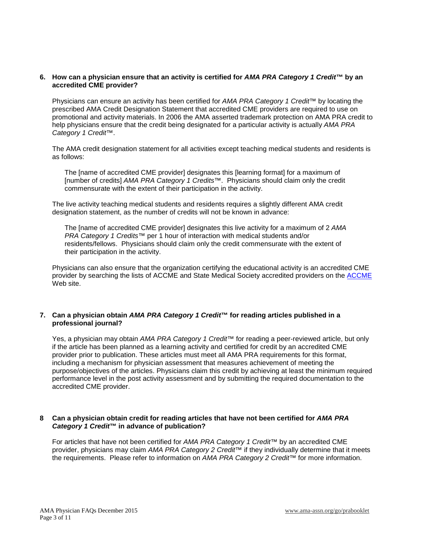### **6. How can a physician ensure that an activity is certified for** *AMA PRA Category 1 Credit***™ by an accredited CME provider?**

Physicians can ensure an activity has been certified for *AMA PRA Category 1 Credit*™ by locating the prescribed AMA Credit Designation Statement that accredited CME providers are required to use on promotional and activity materials. In 2006 the AMA asserted trademark protection on AMA PRA credit to help physicians ensure that the credit being designated for a particular activity is actually *AMA PRA Category 1 Credit™*.

The AMA credit designation statement for all activities except teaching medical students and residents is as follows:

The [name of accredited CME provider] designates this [learning format] for a maximum of [number of credits] *AMA PRA Category 1 Credits*™. Physicians should claim only the credit commensurate with the extent of their participation in the activity.

The live activity teaching medical students and residents requires a slightly different AMA credit designation statement, as the number of credits will not be known in advance:

The [name of accredited CME provider] designates this live activity for a maximum of 2 *AMA PRA Category 1 Credits*™ per 1 hour of interaction with medical students and/or residents/fellows. Physicians should claim only the credit commensurate with the extent of their participation in the activity.

Physicians can also ensure that the organization certifying the educational activity is an accredited CME provider by searching the lists of ACCME and State Medical Society accredited providers on the [ACCME](http://www.accme.org/) Web site.

### **7. Can a physician obtain** *AMA PRA Category 1 Credit***™ for reading articles published in a professional journal?**

Yes, a physician may obtain *AMA PRA Category 1 Credit*™ for reading a peer-reviewed article, but only if the article has been planned as a learning activity and certified for credit by an accredited CME provider prior to publication. These articles must meet all AMA PRA requirements for this format, including a mechanism for physician assessment that measures achievement of meeting the purpose/objectives of the articles. Physicians claim this credit by achieving at least the minimum required performance level in the post activity assessment and by submitting the required documentation to the accredited CME provider.

### **8 Can a physician obtain credit for reading articles that have not been certified for** *AMA PRA Category 1 Credit***™ in advance of publication?**

For articles that have not been certified for *AMA PRA Category 1 Credit*™ by an accredited CME provider, physicians may claim *AMA PRA Category 2 Credit™* if they individually determine that it meets the requirements. Please refer to information on *AMA PRA Category 2 Credit*™ for more information.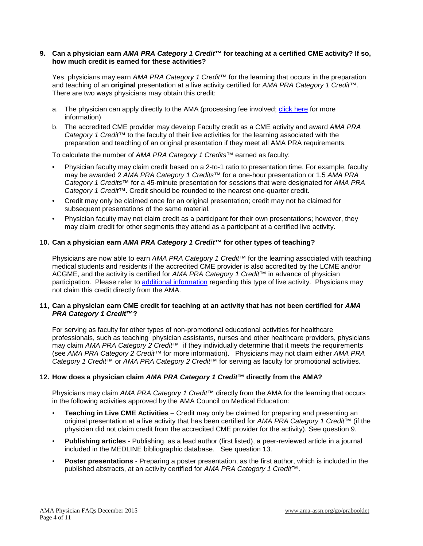### **9. Can a physician earn** *AMA PRA Category 1 Credit***™ for teaching at a certified CME activity? If so, how much credit is earned for these activities?**

Yes, physicians may earn *AMA PRA Category 1 Credit*™ for the learning that occurs in the preparation and teaching of an **original** presentation at a live activity certified for *AMA PRA Category 1 Credit*™. There are two ways physicians may obtain this credit:

- a. The physician can apply directly to the AMA (processing fee involved; [click here](http://www.ama-assn.org/go/directcredit) for more information)
- b. The accredited CME provider may develop Faculty credit as a CME activity and award *AMA PRA Category 1 Credit*™ to the faculty of their live activities for the learning associated with the preparation and teaching of an original presentation if they meet all AMA PRA requirements.

To calculate the number of *AMA PRA Category 1 Credits*™ earned as faculty:

- Physician faculty may claim credit based on a 2-to-1 ratio to presentation time. For example, faculty may be awarded 2 *AMA PRA Category 1 Credits*™ for a one-hour presentation or 1.5 *AMA PRA Category 1 Credits*™ for a 45-minute presentation for sessions that were designated for *AMA PRA Category 1 Credit*™. Credit should be rounded to the nearest one-quarter credit.
- Credit may only be claimed once for an original presentation; credit may not be claimed for subsequent presentations of the same material.
- Physician faculty may not claim credit as a participant for their own presentations; however, they may claim credit for other segments they attend as a participant at a certified live activity.

### **10. Can a physician earn** *AMA PRA Category 1 Credit***™ for other types of teaching?**

Physicians are now able to earn *AMA PRA Category 1 Credit*™ for the learning associated with teaching medical students and residents if the accredited CME provider is also accredited by the LCME and/or ACGME, and the activity is certified for *AMA PRA Category 1 Credit*™ in advance of physician participation. Please refer to [additional information](http://www.ama-assn.org/go/teachMSandR) regarding this type of live activity. Physicians may not claim this credit directly from the AMA.

### **11, Can a physician earn CME credit for teaching at an activity that has not been certified for** *AMA PRA Category 1 Credit***™?**

For serving as faculty for other types of non-promotional educational activities for healthcare professionals, such as teaching physician assistants, nurses and other healthcare providers, physicians may claim *AMA PRA Category 2 Credit™* if they individually determine that it meets the requirements (see *AMA PRA Category 2 Credit*™ for more information). Physicians may not claim either *AMA PRA Category 1 Credit™* or *AMA PRA Category 2 Credit™* for serving as faculty for promotional activities.

### **12. How does a physician claim** *AMA PRA Category 1 Credit***™ directly from the AMA?**

Physicians may claim *AMA PRA Category 1 Credit™* directly from the AMA for the learning that occurs in the following activities approved by the AMA Council on Medical Education:

- **Teaching in Live CME Activities** Credit may only be claimed for preparing and presenting an original presentation at a live activity that has been certified for *AMA PRA Category 1 Credit™* (if the physician did not claim credit from the accredited CME provider for the activity). See question 9.
- **Publishing articles** Publishing, as a lead author (first listed), a peer-reviewed article in a journal included in the MEDLINE bibliographic database. See question 13.
- **Poster presentations** Preparing a poster presentation, as the first author, which is included in the published abstracts, at an activity certified for *AMA PRA Category 1 Credit™*.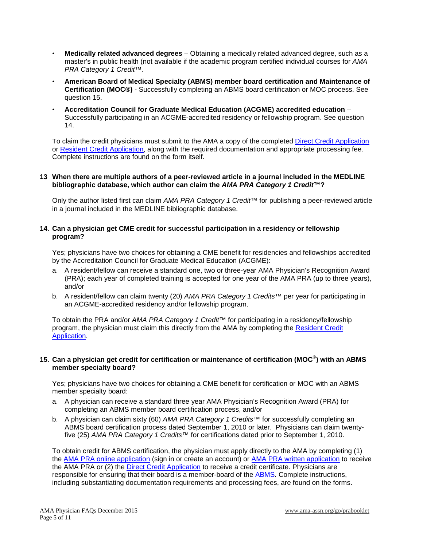- **Medically related advanced degrees** Obtaining a medically related advanced degree, such as a master's in public health (not available if the academic program certified individual courses for *AMA PRA Category 1 Credit™*.
- **American Board of Medical Specialty (ABMS) member board certification and Maintenance of Certification (MOC®)** - Successfully completing an ABMS board certification or MOC process. See question 15.
- **Accreditation Council for Graduate Medical Education (ACGME) accredited education** Successfully participating in an ACGME-accredited residency or fellowship program. See question 14.

To claim the credit physicians must submit to the AMA a copy of the completed [Direct Credit Application](http://www.ama-assn.org/resources/doc/cme/direct-credit-application.pdf) or [Resident Credit Application,](http://www.ama-assn.org/resources/doc/cme/residentapp.pdf) along with the required documentation and appropriate processing fee. Complete instructions are found on the form itself.

### **13 When there are multiple authors of a peer-reviewed article in a journal included in the MEDLINE bibliographic database, which author can claim the** *AMA PRA Category 1 Credit***™?**

Only the author listed first can claim *AMA PRA Category 1 Credit*™ for publishing a peer-reviewed article in a journal included in the MEDLINE bibliographic database.

### **14. Can a physician get CME credit for successful participation in a residency or fellowship program?**

Yes; physicians have two choices for obtaining a CME benefit for residencies and fellowships accredited by the Accreditation Council for Graduate Medical Education (ACGME):

- a. A resident/fellow can receive a standard one, two or three-year AMA Physician's Recognition Award (PRA); each year of completed training is accepted for one year of the AMA PRA (up to three years), and/or
- b. A resident/fellow can claim twenty (20) *AMA PRA Category 1 Credits™* per year for participating in an ACGME-accredited residency and/or fellowship program.

To obtain the PRA and/or *AMA PRA Category 1 Credit*™ for participating in a residency/fellowship program, the physician must claim this directly from the AMA by completing the [Resident Credit](http://www.ama-assn.org/resources/doc/cme/residentapp.pdf)  [Application.](http://www.ama-assn.org/resources/doc/cme/residentapp.pdf)

### **15. Can a physician get credit for certification or maintenance of certification (MOC® ) with an ABMS member specialty board?**

Yes; physicians have two choices for obtaining a CME benefit for certification or MOC with an ABMS member specialty board:

- a. A physician can receive a standard three year AMA Physician's Recognition Award (PRA) for completing an ABMS member board certification process, and/or
- b. A physician can claim sixty (60) *AMA PRA Category 1 Credits™* for successfully completing an ABMS board certification process dated September 1, 2010 or later. Physicians can claim twentyfive (25) *AMA PRA Category 1 Credits*™ for certifications dated prior to September 1, 2010.

To obtain credit for ABMS certification, the physician must apply directly to the AMA by completing (1) the [AMA PRA online application](http://www.ama-assn.org/go/applypra) (sign in or create an account) or [AMA PRA written application](http://www.ama-assn.org/resources/doc/cme/praapplication.pdf) to receive the AMA PRA or (2) the [Direct Credit Application](http://www.ama-assn.org/resources/doc/cme/direct-credit-application.pdf) to receive a credit certificate. Physicians are responsible for ensuring that their board is a member-board of the [ABMS.](http://www.abms.org/) Complete instructions, including substantiating documentation requirements and processing fees, are found on the forms.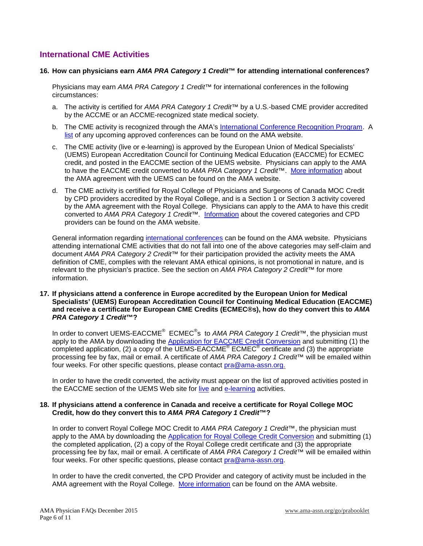## **International CME Activities**

### **16. How can physicians earn** *AMA PRA Category 1 Credit***™ for attending international conferences?**

Physicians may earn *AMA PRA Category 1 Credit*™ for international conferences in the following circumstances:

- a. The activity is certified for *AMA PRA Category 1 Credit*<sup>™</sup> by a U.S.-based CME provider accredited by the ACCME or an ACCME-recognized state medical society.
- b. The CME activity is recognized through the AMA's [International Conference Recognition Program.](http://www.ama-assn.org/ama/pub/education-careers/continuing-medical-education/physicians-recognition-award-credit-system/other-ways-earn-ama-pra-category/international-programs/international-conference-recognition-program.page) A [list](http://www.ama-assn.org/ama/pub/education-careers/continuing-medical-education/physicians-recognition-award-credit-system/other-ways-earn-ama-pra-category/international-programs/international-conference-recognition-program/international-cme-conferences.page?) of any upcoming approved conferences can be found on the AMA website.
- c. The CME activity (live or e-learning) is approved by the European Union of Medical Specialists' (UEMS) European Accreditation Council for Continuing Medical Education (EACCME) for ECMEC credit, and posted in the EACCME section of the UEMS website. Physicians can apply to the AMA to have the EACCME credit converted to *AMA PRA Category 1 Credit™*. [More information](http://www.ama-assn.org/ama/pub/education-careers/continuing-medical-education/physicians-recognition-award-credit-system/other-ways-earn-ama-pra-category/international-programs/uemseaccme-credit-conversion.page) about the AMA agreement with the UEMS can be found on the AMA website.
- d. The CME activity is certified for Royal College of Physicians and Surgeons of Canada MOC Credit by CPD providers accredited by the Royal College, and is a Section 1 or Section 3 activity covered by the AMA agreement with the Royal College. Physicians can apply to the AMA to have this credit converted to *AMA PRA Category 1 Credit™.* [Information](http://www.ama-assn.org/ama/pub/education-careers/continuing-medical-education/physicians-recognition-award-credit-system/other-ways-earn-ama-pra-category/international-programs/credit-through-rcpsc.page) about the covered categories and CPD providers can be found on the AMA website.

General information regarding [international conferences](http://www.ama-assn.org/go/internationalcme) can be found on the AMA website. Physicians attending international CME activities that do not fall into one of the above categories may self-claim and document *AMA PRA Category 2 Credit™* for their participation provided the activity meets the AMA definition of CME, complies with the relevant AMA ethical opinions, is not promotional in nature, and is relevant to the physician's practice. See the section on *AMA PRA Category 2 Credit™* for more information.

### **17. If physicians attend a conference in Europe accredited by the European Union for Medical Specialists' (UEMS) European Accreditation Council for Continuing Medical Education (EACCME) and receive a certificate for European CME Credits (ECMEC®s), how do they convert this to** *AMA PRA Category 1 Credit***™?**

In order to convert UEMS-EACCME<sup>®</sup> ECMEC<sup>®</sup>s to AMA PRA Category 1 Credit™, the physician must apply to the AMA by downloading the [Application for EACCME Credit Conversion](http://www.ama-assn.org/resources/doc/cme/eaccme_creditfrm.pdf) and submitting (1) the completed application, (2) a copy of the UEMS-EACCME<sup>®</sup> ECMEC<sup>®</sup> certificate and (3) the appropriate processing fee by fax, mail or email. A certificate of *AMA PRA Category 1 Credit™* will be emailed within four weeks. For other specific questions, please contact [pra@ama-assn.org.](mailto:pra@ama-assn.org.)

In order to have the credit converted, the activity must appear on the list of approved activities posted in the EACCME section of the UEMS Web site for [live](http://www.eaccme.eu/) and [e-learning](http://www.uems.eu/uems-activities/accreditation/eaccme) activities.

### **18. If physicians attend a conference in Canada and receive a certificate for Royal College MOC Credit, how do they convert this to** *AMA PRA Category 1 Credit***™?**

In order to convert Royal College MOC Credit to *AMA PRA Category 1 Credit™*, the physician must apply to the AMA by downloading the [Application for Royal College Credit Conversion](http://www.ama-assn.org/resources/doc/cme/rcpsc_creditfrm.pdf) and submitting (1) the completed application, (2) a copy of the Royal College credit certificate and (3) the appropriate processing fee by fax, mail or email. A certificate of *AMA PRA Category 1 Credit™* will be emailed within four weeks. For other specific questions, please contact [pra@ama-assn.org.](mailto:pra@ama-assn.org)

In order to have the credit converted, the CPD Provider and category of activity must be included in the AMA agreement with the Royal College. [More information](http://www.ama-assn.org/ama/pub/education-careers/continuing-medical-education/physicians-recognition-award-credit-system/other-ways-earn-ama-pra-category/international-programs/credit-through-rcpsc.page) can be found on the AMA website.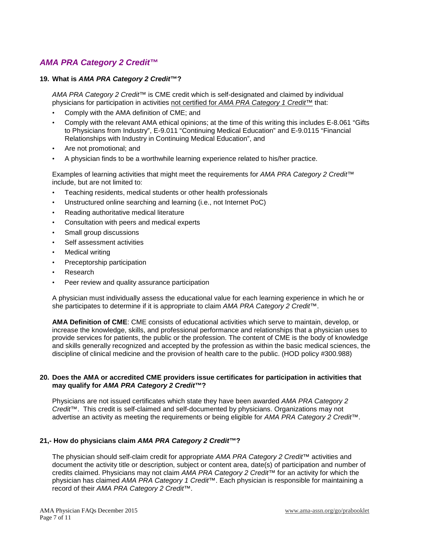## *AMA PRA Category 2 Credit™*

### **19. What is** *AMA PRA Category 2 Credit***™?**

*AMA PRA Category 2 Credit™* is CME credit which is self-designated and claimed by individual physicians for participation in activities not certified for *AMA PRA Category 1 Credit*™ that:

- Comply with the AMA definition of CME; and
- Comply with the relevant AMA ethical opinions; at the time of this writing this includes E-8.061 "Gifts to Physicians from Industry", E-9.011 "Continuing Medical Education" and E-9.0115 "Financial Relationships with Industry in Continuing Medical Education", and
- Are not promotional; and
- A physician finds to be a worthwhile learning experience related to his/her practice.

Examples of learning activities that might meet the requirements for *AMA PRA Category 2 Credit*™ include, but are not limited to:

- Teaching residents, medical students or other health professionals
- Unstructured online searching and learning (i.e., not Internet PoC)
- Reading authoritative medical literature
- Consultation with peers and medical experts
- Small group discussions
- Self assessment activities
- Medical writing
- Preceptorship participation
- Research
- Peer review and quality assurance participation

A physician must individually assess the educational value for each learning experience in which he or she participates to determine if it is appropriate to claim *AMA PRA Category 2 Credit*™.

**AMA Definition of CME**: CME consists of educational activities which serve to maintain, develop, or increase the knowledge, skills, and professional performance and relationships that a physician uses to provide services for patients, the public or the profession. The content of CME is the body of knowledge and skills generally recognized and accepted by the profession as within the basic medical sciences, the discipline of clinical medicine and the provision of health care to the public. (HOD policy #300.988)

### **20. Does the AMA or accredited CME providers issue certificates for participation in activities that may qualify for** *AMA PRA Category 2 Credit™***?**

Physicians are not issued certificates which state they have been awarded *AMA PRA Category 2 Credit™*. This credit is self-claimed and self-documented by physicians. Organizations may not advertise an activity as meeting the requirements or being eligible for *AMA PRA Category 2 Credit™*.

### **21,- How do physicians claim** *AMA PRA Category 2 Credit™***?**

The physician should self-claim credit for appropriate *AMA PRA Category 2 Credit*™ activities and document the activity title or description, subject or content area, date(s) of participation and number of credits claimed. Physicians may not claim *AMA PRA Category 2 Credit*™ for an activity for which the physician has claimed *AMA PRA Category 1 Credit*™. Each physician is responsible for maintaining a record of their *AMA PRA Category 2 Credit*™.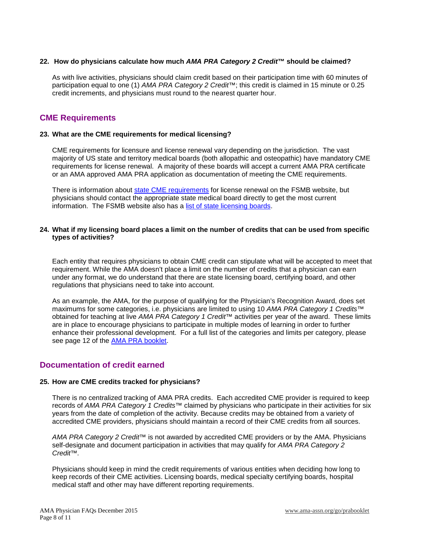### **22. How do physicians calculate how much** *AMA PRA Category 2 Credit***™ should be claimed?**

As with live activities, physicians should claim credit based on their participation time with 60 minutes of participation equal to one (1) *AMA PRA Category 2 Credit*™; this credit is claimed in 15 minute or 0.25 credit increments, and physicians must round to the nearest quarter hour.

## **CME Requirements**

### **23. What are the CME requirements for medical licensing?**

CME requirements for licensure and license renewal vary depending on the jurisdiction. The vast majority of US state and territory medical boards (both allopathic and osteopathic) have mandatory CME requirements for license renewal. A majority of these boards will accept a current AMA PRA certificate or an AMA approved AMA PRA application as documentation of meeting the CME requirements.

There is information about [state CME requirements](http://www.fsmb.org/Media/Default/PDF/FSMB/Advocacy/GRPOL_CME_Overview_by_State.pdf) for license renewal on the FSMB website, but physicians should contact the appropriate state medical board directly to get the most current information. The FSMB website also has a [list of state licensing boards.](http://www.fsmb.org/policy/contacts)

### **24. What if my licensing board places a limit on the number of credits that can be used from specific types of activities?**

Each entity that requires physicians to obtain CME credit can stipulate what will be accepted to meet that requirement. While the AMA doesn't place a limit on the number of credits that a physician can earn under any format, we do understand that there are state licensing board, certifying board, and other regulations that physicians need to take into account.

As an example, the AMA, for the purpose of qualifying for the Physician's Recognition Award, does set maximums for some categories, i.e. physicians are limited to using 10 *AMA PRA Category 1 Credits*™ obtained for teaching at live *AMA PRA Category 1 Credit*™ activities per year of the award. These limits are in place to encourage physicians to participate in multiple modes of learning in order to further enhance their professional development. For a full list of the categories and limits per category, please see page 12 of the [AMA PRA booklet.](http://www.ama-assn.org/go/prabooklet)

## **Documentation of credit earned**

#### **25. How are CME credits tracked for physicians?**

There is no centralized tracking of AMA PRA credits. Each accredited CME provider is required to keep records of *AMA PRA Category 1 Credits™* claimed by physicians who participate in their activities for six years from the date of completion of the activity. Because credits may be obtained from a variety of accredited CME providers, physicians should maintain a record of their CME credits from all sources.

*AMA PRA Category 2 Credit™* is not awarded by accredited CME providers or by the AMA. Physicians self-designate and document participation in activities that may qualify for *AMA PRA Category 2 Credit™.*

Physicians should keep in mind the credit requirements of various entities when deciding how long to keep records of their CME activities. Licensing boards, medical specialty certifying boards, hospital medical staff and other may have different reporting requirements.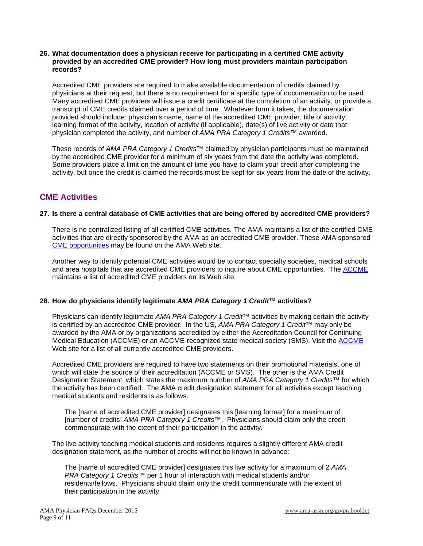### **26. What documentation does a physician receive for participating in a certified CME activity provided by an accredited CME provider? How long must providers maintain participation records?**

Accredited CME providers are required to make available documentation of credits claimed by physicians at their request, but there is no requirement for a specific type of documentation to be used. Many accredited CME providers will issue a credit certificate at the completion of an activity, or provide a transcript of CME credits claimed over a period of time. Whatever form it takes, the documentation provided should include: physician's name, name of the accredited CME provider, title of activity, learning format of the activity, location of activity (if applicable), date(s) of live activity or date that physician completed the activity, and number of *AMA PRA Category 1 Credits*™ awarded.

These records of *AMA PRA Category 1 Credits™* claimed by physician participants must be maintained by the accredited CME provider for a minimum of six years from the date the activity was completed. Some providers place a limit on the amount of time you have to claim your credit after completing the activity, but once the credit is claimed the records must be kept for six years from the date of the activity.

## **CME Activities**

### **27. Is there a central database of CME activities that are being offered by accredited CME providers?**

There is no centralized listing of all certified CME activities. The AMA maintains a list of the certified CME activities that are directly sponsored by the AMA as an accredited CME provider. These AMA sponsored [CME opportunities](http://www.ama-assn.org/go/cme) may be found on the AMA Web site.

Another way to identify potential CME activities would be to contact specialty societies, medical schools and area hospitals that are accredited CME providers to inquire about CME opportunities. The [ACCME](http://www.accme.org/) maintains a list of accredited CME providers on its Web site.

### **28. How do physicians identify legitimate** *AMA PRA Category 1 Credit***™ activities?**

Physicians can identify legitimate *AMA PRA Category 1 Credit™* activities by making certain the activity is certified by an accredited CME provider. In the US, *AMA PRA Category 1 Credit™* may only be awarded by the AMA or by organizations accredited by either the Accreditation Council for Continuing Medical Education (ACCME) or an ACCME-recognized state medical society (SMS). Visit the [ACCME](http://www.accme.org/) Web site for a list of all currently accredited CME providers.

Accredited CME providers are required to have two statements on their promotional materials, one of which will state the source of their accreditation (ACCME or SMS). The other is the AMA Credit Designation Statement, which states the maximum number of *AMA PRA Category 1 Credits™* for which the activity has been certified. The AMA credit designation statement for all activities except teaching medical students and residents is as follows:

The [name of accredited CME provider] designates this [learning format] for a maximum of [number of credits] *AMA PRA Category 1 Credits*™. Physicians should claim only the credit commensurate with the extent of their participation in the activity.

The live activity teaching medical students and residents requires a slightly different AMA credit designation statement, as the number of credits will not be known in advance:

The [name of accredited CME provider] designates this live activity for a maximum of 2 *AMA PRA Category 1 Credits*™ per 1 hour of interaction with medical students and/or residents/fellows. Physicians should claim only the credit commensurate with the extent of their participation in the activity.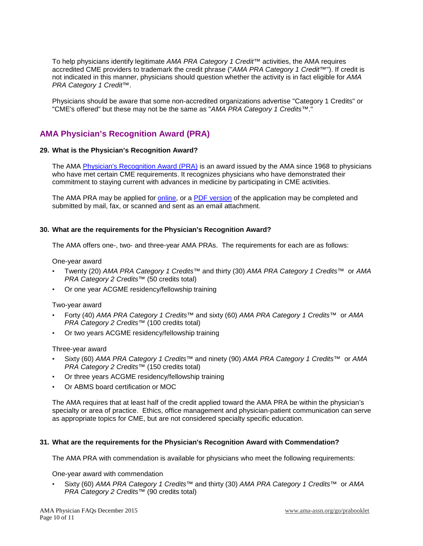To help physicians identify legitimate *AMA PRA Category 1 Credit™* activities, the AMA requires accredited CME providers to trademark the credit phrase ("*AMA PRA Category 1 Credit™*"). If credit is not indicated in this manner, physicians should question whether the activity is in fact eligible for *AMA PRA Category 1 Credit™*.

Physicians should be aware that some non-accredited organizations advertise "Category 1 Credits" or "CME's offered" but these may not be the same as "*AMA PRA Category 1 Credits™*."

## **AMA Physician's Recognition Award (PRA)**

### **29. What is the Physician's Recognition Award?**

The AMA [Physician's Recognition Award \(PRA\)](http://www.ama-assn.org/go/pra) is an award issued by the AMA since 1968 to physicians who have met certain CME requirements. It recognizes physicians who have demonstrated their commitment to staying current with advances in medicine by participating in CME activities.

The AMA PRA may be applied for [online,](http://www.ama-assn.org/go/applypra) or a [PDF version](http://www.ama-assn.org/resources/doc/cme/praapplication.pdf) of the application may be completed and submitted by mail, fax, or scanned and sent as an email attachment.

### **30. What are the requirements for the Physician's Recognition Award?**

The AMA offers one-, two- and three-year AMA PRAs. The requirements for each are as follows:

One-year award

- Twenty (20) *AMA PRA Category 1 Credits*™ and thirty (30) *AMA PRA Category 1 Credits*™ or *AMA PRA Category 2 Credits*™ (50 credits total)
- Or one year ACGME residency/fellowship training

Two-year award

- Forty (40) *AMA PRA Category 1 Credits*™ and sixty (60) *AMA PRA Category 1 Credits*™ or *AMA PRA Category 2 Credits*™ (100 credits total)
- Or two years ACGME residency/fellowship training

Three-year award

- Sixty (60) *AMA PRA Category 1 Credits*™ and ninety (90) *AMA PRA Category 1 Credits*™ or *AMA PRA Category 2 Credits*™ (150 credits total)
- Or three years ACGME residency/fellowship training
- Or ABMS board certification or MOC

The AMA requires that at least half of the credit applied toward the AMA PRA be within the physician's specialty or area of practice. Ethics, office management and physician-patient communication can serve as appropriate topics for CME, but are not considered specialty specific education.

### **31. What are the requirements for the Physician's Recognition Award with Commendation?**

The AMA PRA with commendation is available for physicians who meet the following requirements:

One-year award with commendation

• Sixty (60) *AMA PRA Category 1 Credits*™ and thirty (30) *AMA PRA Category 1 Credits*™ or *AMA PRA Category 2 Credits*™ (90 credits total)